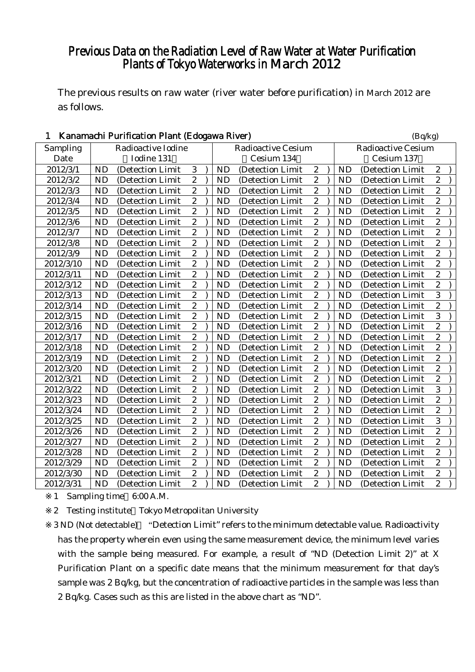# Previous Data on the Radiation Level of Raw Water at Water Purification Plants of Tokyo Waterworks in March 2012

The previous results on raw water (river water before purification) in March 2012 are as follows.

| Kanamachi Purification Plant (Edogawa River)<br>1 |            |                    | (Bq/kg)        |  |                           |                   |                           |            |           |                   |                  |  |
|---------------------------------------------------|------------|--------------------|----------------|--|---------------------------|-------------------|---------------------------|------------|-----------|-------------------|------------------|--|
| Sampling                                          |            | Radioactive Iodine |                |  | <b>Radioactive Cesium</b> |                   | <b>Radioactive Cesium</b> |            |           |                   |                  |  |
| Date                                              | Iodine 131 |                    |                |  |                           | Cesium 134        |                           | Cesium 137 |           |                   |                  |  |
| 2012/3/1                                          | <b>ND</b>  | (Detection Limit)  | 3              |  | <b>ND</b>                 | (Detection Limit  | $\boldsymbol{2}$          |            | <b>ND</b> | (Detection Limit  | $\boldsymbol{2}$ |  |
| 2012/3/2                                          | <b>ND</b>  | (Detection Limit)  | $\overline{c}$ |  | <b>ND</b>                 | (Detection Limit) | $\overline{c}$            |            | <b>ND</b> | (Detection Limit  | $\overline{c}$   |  |
| 2012/3/3                                          | <b>ND</b>  | (Detection Limit   | $\overline{c}$ |  | <b>ND</b>                 | (Detection Limit  | $\overline{c}$            |            | <b>ND</b> | (Detection Limit  | $\overline{c}$   |  |
| 2012/3/4                                          | <b>ND</b>  | (Detection Limit   | $\mathbf{2}$   |  | <b>ND</b>                 | (Detection Limit  | $\sqrt{2}$                |            | <b>ND</b> | (Detection Limit  | $\overline{c}$   |  |
| 2012/3/5                                          | <b>ND</b>  | (Detection Limit   | $\overline{2}$ |  | <b>ND</b>                 | (Detection Limit  | $\overline{c}$            |            | <b>ND</b> | (Detection Limit  | $\overline{c}$   |  |
| 2012/3/6                                          | <b>ND</b>  | (Detection Limit   | $\overline{2}$ |  | <b>ND</b>                 | (Detection Limit  | $\overline{2}$            |            | <b>ND</b> | (Detection Limit  | $\overline{c}$   |  |
| 2012/3/7                                          | <b>ND</b>  | (Detection Limit   | $\overline{2}$ |  | <b>ND</b>                 | (Detection Limit  | $\overline{c}$            |            | <b>ND</b> | (Detection Limit  | $\overline{2}$   |  |
| 2012/3/8                                          | <b>ND</b>  | (Detection Limit   | $\overline{c}$ |  | <b>ND</b>                 | (Detection Limit  | $\overline{c}$            |            | <b>ND</b> | (Detection Limit  | $\overline{c}$   |  |
| 2012/3/9                                          | <b>ND</b>  | (Detection Limit   | $\overline{c}$ |  | <b>ND</b>                 | (Detection Limit  | $\sqrt{2}$                |            | ND        | (Detection Limit  | $\overline{c}$   |  |
| 2012/3/10                                         | <b>ND</b>  | (Detection Limit   | $\overline{c}$ |  | <b>ND</b>                 | (Detection Limit  | $\overline{2}$            |            | <b>ND</b> | (Detection Limit  | $\overline{c}$   |  |
| 2012/3/11                                         | <b>ND</b>  | (Detection Limit   | $\overline{2}$ |  | <b>ND</b>                 | (Detection Limit) | $\overline{c}$            |            | <b>ND</b> | (Detection Limit  | $\overline{c}$   |  |
| 2012/3/12                                         | <b>ND</b>  | (Detection Limit   | $\overline{2}$ |  | <b>ND</b>                 | (Detection Limit) | $\overline{c}$            |            | <b>ND</b> | (Detection Limit  | $\overline{c}$   |  |
| 2012/3/13                                         | <b>ND</b>  | (Detection Limit   | $\overline{2}$ |  | <b>ND</b>                 | (Detection Limit  | $\overline{c}$            |            | <b>ND</b> | (Detection Limit  | 3                |  |
| 2012/3/14                                         | <b>ND</b>  | (Detection Limit   | $\overline{2}$ |  | <b>ND</b>                 | (Detection Limit  | $\sqrt{2}$                |            | <b>ND</b> | (Detection Limit  | $\overline{c}$   |  |
| 2012/3/15                                         | <b>ND</b>  | (Detection Limit   | $\overline{c}$ |  | <b>ND</b>                 | (Detection Limit  | $\overline{c}$            |            | <b>ND</b> | (Detection Limit  | 3                |  |
| 2012/3/16                                         | <b>ND</b>  | (Detection Limit   | $\overline{2}$ |  | <b>ND</b>                 | (Detection Limit  | $\overline{2}$            |            | ND        | (Detection Limit  | $\overline{c}$   |  |
| 2012/3/17                                         | <b>ND</b>  | (Detection Limit)  | $\overline{c}$ |  | <b>ND</b>                 | (Detection Limit  | $\overline{c}$            |            | <b>ND</b> | (Detection Limit  | $\overline{c}$   |  |
| 2012/3/18                                         | <b>ND</b>  | (Detection Limit   | $\overline{c}$ |  | <b>ND</b>                 | (Detection Limit  | $\mathbf{2}$              |            | <b>ND</b> | (Detection Limit  | $\overline{c}$   |  |
| 2012/3/19                                         | <b>ND</b>  | (Detection Limit   | $\overline{c}$ |  | <b>ND</b>                 | (Detection Limit  | $\sqrt{2}$                |            | ND        | (Detection Limit  | $\overline{c}$   |  |
| 2012/3/20                                         | <b>ND</b>  | (Detection Limit   | $\overline{c}$ |  | <b>ND</b>                 | (Detection Limit  | $\overline{2}$            |            | <b>ND</b> | (Detection Limit  | $\overline{c}$   |  |
| 2012/3/21                                         | <b>ND</b>  | (Detection Limit   | $\overline{2}$ |  | <b>ND</b>                 | (Detection Limit  | $\overline{c}$            |            | <b>ND</b> | (Detection Limit  | $\overline{c}$   |  |
| 2012/3/22                                         | <b>ND</b>  | (Detection Limit   | $\overline{c}$ |  | <b>ND</b>                 | (Detection Limit  | $\overline{c}$            |            | <b>ND</b> | (Detection Limit  | $\overline{3}$   |  |
| 2012/3/23                                         | <b>ND</b>  | (Detection Limit   | $\overline{2}$ |  | <b>ND</b>                 | (Detection Limit  | $\overline{c}$            |            | <b>ND</b> | (Detection Limit  | $\overline{c}$   |  |
| 2012/3/24                                         | <b>ND</b>  | (Detection Limit   | $\overline{2}$ |  | <b>ND</b>                 | (Detection Limit  | $\sqrt{2}$                |            | <b>ND</b> | (Detection Limit  | $\overline{c}$   |  |
| 2012/3/25                                         | <b>ND</b>  | (Detection Limit)  | $\overline{c}$ |  | <b>ND</b>                 | (Detection Limit  | $\overline{c}$            |            | <b>ND</b> | (Detection Limit  | 3                |  |
| 2012/3/26                                         | <b>ND</b>  | (Detection Limit   | $\overline{2}$ |  | <b>ND</b>                 | (Detection Limit  | $\overline{2}$            |            | <b>ND</b> | (Detection Limit  | $\overline{c}$   |  |
| 2012/3/27                                         | <b>ND</b>  | (Detection Limit   | $\overline{2}$ |  | <b>ND</b>                 | (Detection Limit  | $\overline{2}$            |            | <b>ND</b> | (Detection Limit  | $\overline{2}$   |  |
| 2012/3/28                                         | <b>ND</b>  | (Detection Limit   | $\overline{c}$ |  | <b>ND</b>                 | (Detection Limit  | $\overline{c}$            |            | <b>ND</b> | (Detection Limit  | $\overline{c}$   |  |
| 2012/3/29                                         | <b>ND</b>  | (Detection Limit   | $\mathbf{2}$   |  | <b>ND</b>                 | (Detection Limit  | $\sqrt{2}$                |            | ND        | (Detection Limit  | $\overline{c}$   |  |
| 2012/3/30                                         | <b>ND</b>  | (Detection Limit   | $\overline{2}$ |  | <b>ND</b>                 | (Detection Limit  | $\overline{2}$            |            | <b>ND</b> | (Detection Limit  | $\overline{c}$   |  |
| 2012/3/31                                         | <b>ND</b>  | (Detection Limit)  | $\overline{2}$ |  | <b>ND</b>                 | (Detection Limit) | $\overline{c}$            |            | <b>ND</b> | (Detection Limit) | $\overline{c}$   |  |

1 Sampling time 6:00 A.M.

2 Testing institute Tokyo Metropolitan University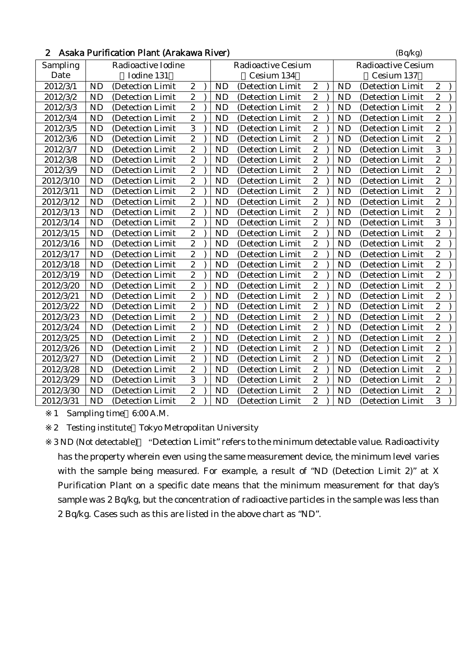|  | 2 Asaka Purification Plant (Arakawa River) | (Bq/kg) |
|--|--------------------------------------------|---------|
|--|--------------------------------------------|---------|

| Sampling  |           | Radioactive Iodine |                  |           | <b>Radioactive Cesium</b> |                         |           | <b>Radioactive Cesium</b> |                         |  |
|-----------|-----------|--------------------|------------------|-----------|---------------------------|-------------------------|-----------|---------------------------|-------------------------|--|
| Date      |           | Iodine 131         |                  |           | Cesium 134                |                         |           | Cesium 137                |                         |  |
| 2012/3/1  | <b>ND</b> | (Detection Limit   | $\boldsymbol{2}$ | <b>ND</b> | (Detection Limit          | $\boldsymbol{2}$        | <b>ND</b> | (Detection Limit          | $\boldsymbol{2}$        |  |
| 2012/3/2  | <b>ND</b> | (Detection Limit   | $\boldsymbol{2}$ | <b>ND</b> | (Detection Limit          | $\boldsymbol{2}$        | <b>ND</b> | (Detection Limit          | $\boldsymbol{2}$        |  |
| 2012/3/3  | <b>ND</b> | (Detection Limit   | $\overline{2}$   | <b>ND</b> | (Detection Limit          | $\overline{c}$          | <b>ND</b> | (Detection Limit)         | $\overline{c}$          |  |
| 2012/3/4  | <b>ND</b> | (Detection Limit)  | $\overline{2}$   | <b>ND</b> | (Detection Limit)         | $\boldsymbol{2}$        | <b>ND</b> | (Detection Limit)         | $\overline{\mathbf{c}}$ |  |
| 2012/3/5  | <b>ND</b> | (Detection Limit)  | $\overline{3}$   | <b>ND</b> | (Detection Limit          | $\overline{2}$          | <b>ND</b> | (Detection Limit          | $\overline{2}$          |  |
| 2012/3/6  | <b>ND</b> | (Detection Limit   | $\overline{2}$   | <b>ND</b> | (Detection Limit)         | $\boldsymbol{2}$        | <b>ND</b> | (Detection Limit          | $\overline{c}$          |  |
| 2012/3/7  | ND        | (Detection Limit   | $\overline{2}$   | ND        | (Detection Limit          | $\overline{2}$          | <b>ND</b> | (Detection Limit          | $\overline{3}$          |  |
| 2012/3/8  | <b>ND</b> | (Detection Limit   | $\overline{2}$   | <b>ND</b> | (Detection Limit)         | $\boldsymbol{2}$        | <b>ND</b> | (Detection Limit          | $\overline{\mathbf{c}}$ |  |
| 2012/3/9  | ND        | (Detection Limit   | $\overline{2}$   | ND        | (Detection Limit          | $\overline{2}$          | <b>ND</b> | (Detection Limit          | $\overline{2}$          |  |
| 2012/3/10 | <b>ND</b> | (Detection Limit   | $\boldsymbol{2}$ | <b>ND</b> | (Detection Limit          | $\overline{c}$          | <b>ND</b> | (Detection Limit          | $\overline{c}$          |  |
| 2012/3/11 | <b>ND</b> | (Detection Limit   | $\boldsymbol{2}$ | <b>ND</b> | (Detection Limit          | $\boldsymbol{2}$        | <b>ND</b> | (Detection Limit          | $\boldsymbol{2}$        |  |
| 2012/3/12 | <b>ND</b> | (Detection Limit)  | $\overline{2}$   | <b>ND</b> | (Detection Limit)         | $\overline{c}$          | <b>ND</b> | (Detection Limit)         | $\overline{c}$          |  |
| 2012/3/13 | <b>ND</b> | (Detection Limit   | $\overline{2}$   | <b>ND</b> | (Detection Limit          | $\overline{c}$          | <b>ND</b> | (Detection Limit          | $\overline{c}$          |  |
| 2012/3/14 | ND        | (Detection Limit   | $\boldsymbol{2}$ | <b>ND</b> | (Detection Limit          | $\boldsymbol{2}$        | <b>ND</b> | (Detection Limit          | 3                       |  |
| 2012/3/15 | ND        | (Detection Limit   | $\overline{2}$   | ND        | (Detection Limit          | $\boldsymbol{2}$        | <b>ND</b> | (Detection Limit          | $\boldsymbol{2}$        |  |
| 2012/3/16 | <b>ND</b> | (Detection Limit   | $\overline{2}$   | <b>ND</b> | (Detection Limit          | $\overline{c}$          | <b>ND</b> | (Detection Limit          | $\overline{c}$          |  |
| 2012/3/17 | <b>ND</b> | (Detection Limit   | $\boldsymbol{2}$ | ND        | (Detection Limit          | $\boldsymbol{2}$        | <b>ND</b> | (Detection Limit)         | $\boldsymbol{2}$        |  |
| 2012/3/18 | <b>ND</b> | (Detection Limit)  | $\mathbf{2}$     | <b>ND</b> | (Detection Limit)         | $\mathbf{2}$            | <b>ND</b> | (Detection Limit)         | $\overline{c}$          |  |
| 2012/3/19 | <b>ND</b> | (Detection Limit)  | $\boldsymbol{2}$ | <b>ND</b> | (Detection Limit)         | $\boldsymbol{2}$        | <b>ND</b> | (Detection Limit)         | $\boldsymbol{2}$        |  |
| 2012/3/20 | <b>ND</b> | (Detection Limit   | $\overline{c}$   | <b>ND</b> | (Detection Limit)         | $\overline{c}$          | <b>ND</b> | (Detection Limit)         | $\overline{c}$          |  |
| 2012/3/21 | <b>ND</b> | (Detection Limit   | $\overline{2}$   | ND        | (Detection Limit          | $\mathbf{2}$            | <b>ND</b> | (Detection Limit          | $\overline{c}$          |  |
| 2012/3/22 | <b>ND</b> | (Detection Limit   | $\boldsymbol{2}$ | ND        | (Detection Limit          | $\boldsymbol{2}$        | <b>ND</b> | (Detection Limit          | $\overline{c}$          |  |
| 2012/3/23 | ND        | (Detection Limit   | $\sqrt{2}$       | ND        | (Detection Limit          | $\boldsymbol{2}$        | <b>ND</b> | (Detection Limit          | $\boldsymbol{2}$        |  |
| 2012/3/24 | <b>ND</b> | (Detection Limit   | $\overline{c}$   | ND        | (Detection Limit          | $\overline{2}$          | <b>ND</b> | (Detection Limit          | $\overline{c}$          |  |
| 2012/3/25 | <b>ND</b> | (Detection Limit   | $\boldsymbol{2}$ | <b>ND</b> | (Detection Limit          | $\boldsymbol{2}$        | <b>ND</b> | (Detection Limit          | $\overline{\mathbf{c}}$ |  |
| 2012/3/26 | <b>ND</b> | (Detection Limit)  | $\boldsymbol{2}$ | <b>ND</b> | (Detection Limit          | $\boldsymbol{2}$        | <b>ND</b> | (Detection Limit          | $\overline{c}$          |  |
| 2012/3/27 | <b>ND</b> | (Detection Limit)  | $\overline{2}$   | ND        | (Detection Limit          | $\boldsymbol{2}$        | <b>ND</b> | (Detection Limit)         | $\boldsymbol{2}$        |  |
| 2012/3/28 | <b>ND</b> | (Detection Limit   | $\overline{c}$   | <b>ND</b> | (Detection Limit)         | $\overline{c}$          | <b>ND</b> | (Detection Limit)         | $\boldsymbol{2}$        |  |
| 2012/3/29 | <b>ND</b> | (Detection Limit   | $\overline{3}$   | <b>ND</b> | (Detection Limit          | $\overline{\mathbf{c}}$ | <b>ND</b> | (Detection Limit          | $\overline{2}$          |  |
| 2012/3/30 | <b>ND</b> | (Detection Limit   | $\overline{2}$   | ND        | (Detection Limit          | $\boldsymbol{2}$        | <b>ND</b> | (Detection Limit          | $\overline{c}$          |  |
| 2012/3/31 | <b>ND</b> | (Detection Limit   | $\overline{c}$   | ND        | (Detection Limit          | $\boldsymbol{2}$        | <b>ND</b> | (Detection Limit          | 3                       |  |

1 Sampling time 6:00 A.M.

2 Testing institute Tokyo Metropolitan University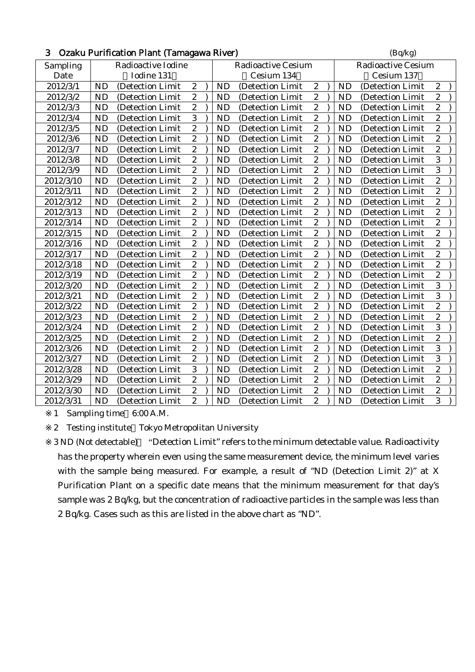| 3.<br>Ozaku Purification Plant (Tamagawa River) |                    |                   |                  |  |           |                           |                  |                           |           | (Bq/kg)          |                  |  |  |
|-------------------------------------------------|--------------------|-------------------|------------------|--|-----------|---------------------------|------------------|---------------------------|-----------|------------------|------------------|--|--|
| Sampling                                        | Radioactive Iodine |                   |                  |  |           | <b>Radioactive Cesium</b> |                  | <b>Radioactive Cesium</b> |           |                  |                  |  |  |
| Date                                            | Iodine 131         |                   |                  |  |           | Cesium 134                |                  | Cesium 137                |           |                  |                  |  |  |
| 2012/3/1                                        | <b>ND</b>          | (Detection Limit  | $\boldsymbol{2}$ |  | <b>ND</b> | (Detection Limit          | $\boldsymbol{2}$ |                           | <b>ND</b> | (Detection Limit | $\boldsymbol{2}$ |  |  |
| 2012/3/2                                        | <b>ND</b>          | (Detection Limit  | $\sqrt{2}$       |  | ND        | (Detection Limit          | $\boldsymbol{2}$ |                           | <b>ND</b> | (Detection Limit | $\boldsymbol{2}$ |  |  |
| 2012/3/3                                        | <b>ND</b>          | (Detection Limit  | $\overline{2}$   |  | <b>ND</b> | (Detection Limit          | $\boldsymbol{2}$ |                           | <b>ND</b> | (Detection Limit | $\overline{c}$   |  |  |
| 2012/3/4                                        | <b>ND</b>          | (Detection Limit  | $\overline{3}$   |  | <b>ND</b> | (Detection Limit          | $\boldsymbol{2}$ |                           | <b>ND</b> | (Detection Limit | $\overline{c}$   |  |  |
| 2012/3/5                                        | <b>ND</b>          | (Detection Limit  | $\overline{2}$   |  | <b>ND</b> | (Detection Limit          | $\overline{c}$   |                           | <b>ND</b> | (Detection Limit | $\overline{2}$   |  |  |
| 2012/3/6                                        | <b>ND</b>          | (Detection Limit) | $\overline{c}$   |  | <b>ND</b> | (Detection Limit)         | $\boldsymbol{2}$ |                           | <b>ND</b> | (Detection Limit | $\overline{c}$   |  |  |
| 2012/3/7                                        | <b>ND</b>          | (Detection Limit  | $\overline{c}$   |  | <b>ND</b> | (Detection Limit          | $\boldsymbol{2}$ |                           | <b>ND</b> | (Detection Limit | $\overline{c}$   |  |  |
| 2012/3/8                                        | <b>ND</b>          | (Detection Limit  | $\overline{2}$   |  | <b>ND</b> | (Detection Limit          | $\overline{c}$   |                           | <b>ND</b> | (Detection Limit | 3                |  |  |
| 2012/3/9                                        | <b>ND</b>          | (Detection Limit  | $\overline{2}$   |  | <b>ND</b> | (Detection Limit          | $\overline{2}$   |                           | <b>ND</b> | (Detection Limit | $\overline{3}$   |  |  |
| 2012/3/10                                       | <b>ND</b>          | (Detection Limit  | $\overline{2}$   |  | <b>ND</b> | (Detection Limit          | $\overline{c}$   |                           | <b>ND</b> | (Detection Limit | $\overline{2}$   |  |  |
| 2012/3/11                                       | <b>ND</b>          | (Detection Limit  | $\overline{c}$   |  | <b>ND</b> | (Detection Limit          | $\boldsymbol{2}$ |                           | <b>ND</b> | (Detection Limit | $\overline{c}$   |  |  |
| 2012/3/12                                       | <b>ND</b>          | (Detection Limit  | $\overline{2}$   |  | ND        | (Detection Limit          | $\boldsymbol{2}$ |                           | <b>ND</b> | (Detection Limit | $\overline{c}$   |  |  |
| 2012/3/13                                       | <b>ND</b>          | (Detection Limit  | $\overline{2}$   |  | <b>ND</b> | (Detection Limit          | $\overline{c}$   |                           | <b>ND</b> | (Detection Limit | $\overline{c}$   |  |  |
| 2012/3/14                                       | <b>ND</b>          | (Detection Limit  | $\boldsymbol{2}$ |  | <b>ND</b> | (Detection Limit          | $\boldsymbol{2}$ |                           | <b>ND</b> | (Detection Limit | $\overline{c}$   |  |  |
| 2012/3/15                                       | <b>ND</b>          | (Detection Limit  | $\overline{c}$   |  | <b>ND</b> | (Detection Limit          | $\overline{c}$   |                           | <b>ND</b> | (Detection Limit | $\overline{2}$   |  |  |
| 2012/3/16                                       | <b>ND</b>          | (Detection Limit  | $\overline{c}$   |  | <b>ND</b> | (Detection Limit          | $\boldsymbol{2}$ |                           | <b>ND</b> | (Detection Limit | $\boldsymbol{2}$ |  |  |
| 2012/3/17                                       | <b>ND</b>          | (Detection Limit  | $\overline{2}$   |  | <b>ND</b> | (Detection Limit          | $\overline{2}$   |                           | <b>ND</b> | (Detection Limit | $\overline{c}$   |  |  |
| 2012/3/18                                       | <b>ND</b>          | (Detection Limit  | $\overline{2}$   |  | <b>ND</b> | (Detection Limit          | $\overline{c}$   |                           | <b>ND</b> | (Detection Limit | $\overline{2}$   |  |  |
| 2012/3/19                                       | <b>ND</b>          | (Detection Limit  | $\overline{2}$   |  | <b>ND</b> | (Detection Limit          | $\boldsymbol{2}$ |                           | <b>ND</b> | (Detection Limit | $\overline{c}$   |  |  |
| 2012/3/20                                       | <b>ND</b>          | (Detection Limit  | $\overline{c}$   |  | <b>ND</b> | (Detection Limit          | $\boldsymbol{2}$ |                           | <b>ND</b> | (Detection Limit | 3                |  |  |
| 2012/3/21                                       | <b>ND</b>          | (Detection Limit  | $\overline{c}$   |  | <b>ND</b> | (Detection Limit          | $\boldsymbol{2}$ |                           | <b>ND</b> | (Detection Limit | 3                |  |  |
| 2012/3/22                                       | <b>ND</b>          | (Detection Limit  | $\overline{c}$   |  | <b>ND</b> | (Detection Limit          | $\boldsymbol{2}$ |                           | <b>ND</b> | (Detection Limit | $\overline{c}$   |  |  |
| 2012/3/23                                       | <b>ND</b>          | (Detection Limit  | $\overline{2}$   |  | <b>ND</b> | (Detection Limit          | $\overline{c}$   |                           | <b>ND</b> | (Detection Limit | $\overline{c}$   |  |  |
| 2012/3/24                                       | <b>ND</b>          | (Detection Limit  | $\overline{2}$   |  | <b>ND</b> | (Detection Limit          | $\overline{c}$   |                           | <b>ND</b> | (Detection Limit | $\overline{3}$   |  |  |
| 2012/3/25                                       | <b>ND</b>          | (Detection Limit  | $\sqrt{2}$       |  | <b>ND</b> | (Detection Limit          | $\boldsymbol{2}$ |                           | <b>ND</b> | (Detection Limit | $\overline{c}$   |  |  |
| 2012/3/26                                       | <b>ND</b>          | (Detection Limit  | $\boldsymbol{2}$ |  | <b>ND</b> | (Detection Limit          | $\boldsymbol{2}$ |                           | <b>ND</b> | (Detection Limit | 3                |  |  |
| 2012/3/27                                       | <b>ND</b>          | (Detection Limit  | $\overline{2}$   |  | <b>ND</b> | (Detection Limit          | $\overline{c}$   |                           | <b>ND</b> | (Detection Limit | 3                |  |  |
| 2012/3/28                                       | <b>ND</b>          | (Detection Limit  | $\overline{3}$   |  | <b>ND</b> | (Detection Limit          | $\boldsymbol{2}$ |                           | $\rm ND$  | (Detection Limit | $\overline{c}$   |  |  |
| 2012/3/29                                       | <b>ND</b>          | (Detection Limit  | $\overline{2}$   |  | <b>ND</b> | (Detection Limit          | $\overline{c}$   |                           | <b>ND</b> | (Detection Limit | $\overline{2}$   |  |  |
| 2012/3/30                                       | <b>ND</b>          | (Detection Limit  | $\boldsymbol{2}$ |  | <b>ND</b> | (Detection Limit          | $\boldsymbol{2}$ |                           | <b>ND</b> | (Detection Limit | $\overline{c}$   |  |  |
| 2012/3/31                                       | <b>ND</b>          | (Detection Limit) | $\overline{c}$   |  | <b>ND</b> | (Detection Limit          | $\boldsymbol{2}$ |                           | <b>ND</b> | (Detection Limit | 3                |  |  |

### $\mathbf{D}_{\text{out}}$ Gaction  $\mathbf{D}_{\text{out}}$  (Tamagawa  $\mathbf{D}_{\text{in}}$ g) (Bq/kg) (Bq/kg)

1 Sampling time 6:00 A.M.

2 Testing institute Tokyo Metropolitan University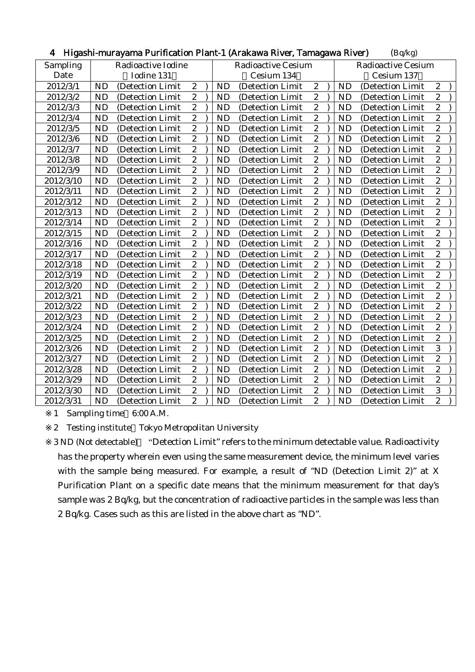| Sampling<br>Radioactive Iodine<br><b>Radioactive Cesium</b><br><b>Radioactive Cesium</b><br>Date<br>Iodine 131<br>Cesium 134<br>Cesium 137<br>$\sqrt{2}$<br>$\boldsymbol{2}$<br><b>ND</b><br><b>ND</b><br><b>ND</b><br>$\boldsymbol{2}$<br>2012/3/1<br>(Detection Limit<br>(Detection Limit<br>(Detection Limit<br>$\boldsymbol{2}$<br>$\boldsymbol{2}$<br>$\boldsymbol{2}$<br>2012/3/2<br><b>ND</b><br>(Detection Limit<br><b>ND</b><br>(Detection Limit<br><b>ND</b><br>(Detection Limit<br>$\boldsymbol{2}$<br>$\boldsymbol{2}$<br>$\overline{c}$<br>ND<br>2012/3/3<br><b>ND</b><br>(Detection Limit<br><b>ND</b><br>(Detection Limit<br>(Detection Limit<br>$\overline{c}$<br>$\overline{c}$<br>$\overline{c}$<br><b>ND</b><br><b>ND</b><br>2012/3/4<br><b>ND</b><br>(Detection Limit<br>(Detection Limit<br>(Detection Limit<br>$\overline{2}$<br>$\overline{c}$<br>$\boldsymbol{2}$<br><b>ND</b><br>2012/3/5<br><b>ND</b><br><b>ND</b><br>(Detection Limit<br>(Detection Limit<br>(Detection Limit<br>$\overline{2}$<br>$\overline{2}$<br>$\overline{2}$<br><b>ND</b><br><b>ND</b><br>2012/3/6<br><b>ND</b><br>(Detection Limit<br>(Detection Limit<br>(Detection Limit<br>$\overline{c}$<br>$\boldsymbol{2}$<br>$\boldsymbol{2}$<br><b>ND</b><br><b>ND</b><br><b>ND</b><br>2012/3/7<br>(Detection Limit<br>(Detection Limit<br>(Detection Limit<br>$\boldsymbol{2}$<br>ND<br>$\sqrt{2}$<br>$\boldsymbol{2}$<br><b>ND</b><br><b>ND</b><br>2012/3/8<br>(Detection Limit<br>(Detection Limit<br>(Detection Limit<br>$\overline{2}$<br>$\overline{2}$<br>$\overline{c}$<br><b>ND</b><br><b>ND</b><br><b>ND</b><br>2012/3/9<br>(Detection Limit<br>(Detection Limit<br>(Detection Limit<br>$\overline{2}$<br>$\overline{c}$<br>$\boldsymbol{2}$<br><b>ND</b><br><b>ND</b><br>2012/3/10<br><b>ND</b><br>(Detection Limit<br>(Detection Limit<br>(Detection Limit<br>$\overline{2}$<br>$\overline{2}$<br>$\overline{c}$<br><b>ND</b><br><b>ND</b><br>2012/3/11<br><b>ND</b><br>(Detection Limit<br>(Detection Limit<br>(Detection Limit<br>$\overline{c}$<br>$\boldsymbol{2}$<br>$\boldsymbol{2}$<br><b>ND</b><br>2012/3/12<br><b>ND</b><br><b>ND</b><br>(Detection Limit<br>(Detection Limit<br>(Detection Limit<br>$\boldsymbol{2}$<br>$\overline{c}$<br><b>ND</b><br>$\boldsymbol{2}$<br><b>ND</b><br><b>ND</b><br>2012/3/13<br>(Detection Limit<br>(Detection Limit<br>(Detection Limit<br>$\overline{c}$<br>$\boldsymbol{2}$<br>$\overline{c}$<br><b>ND</b><br><b>ND</b><br>2012/3/14<br><b>ND</b><br>(Detection Limit<br>(Detection Limit<br>(Detection Limit<br>$\overline{2}$<br>$\overline{2}$<br>$\boldsymbol{2}$<br>ND<br><b>ND</b><br><b>ND</b><br>2012/3/15<br>(Detection Limit<br>(Detection Limit<br>(Detection Limit<br>$\overline{c}$<br>$\overline{c}$<br>$\overline{c}$<br><b>ND</b><br><b>ND</b><br><b>ND</b><br>2012/3/16<br>(Detection Limit<br>(Detection Limit)<br>(Detection Limit)<br>$\overline{c}$<br>$\boldsymbol{2}$<br>$\boldsymbol{2}$<br><b>ND</b><br><b>ND</b><br><b>ND</b><br>2012/3/17<br>(Detection Limit<br>(Detection Limit<br>(Detection Limit<br>$\overline{c}$<br>$\overline{c}$<br>$\overline{c}$<br><b>ND</b><br>2012/3/18<br><b>ND</b><br><b>ND</b><br>(Detection Limit<br>(Detection Limit<br>(Detection Limit<br>$\overline{2}$<br>$\overline{c}$<br>$\overline{c}$<br>2012/3/19<br><b>ND</b><br><b>ND</b><br><b>ND</b><br>(Detection Limit<br>(Detection Limit<br>(Detection Limit<br>$\overline{2}$<br>$\overline{c}$<br>$\boldsymbol{2}$<br>ND<br><b>ND</b><br>2012/3/20<br><b>ND</b><br>(Detection Limit<br>(Detection Limit<br>(Detection Limit<br>$\overline{c}$<br>$\boldsymbol{2}$<br>$\overline{c}$<br>ND<br><b>ND</b><br><b>ND</b><br>2012/3/21<br>(Detection Limit<br>(Detection Limit<br>(Detection Limit<br>$\boldsymbol{2}$<br>$\boldsymbol{2}$<br>$\boldsymbol{2}$<br>ND<br>2012/3/22<br><b>ND</b><br><b>ND</b><br>(Detection Limit<br>(Detection Limit<br>(Detection Limit<br>$\overline{c}$<br>$\overline{c}$<br>$\overline{c}$<br><b>ND</b><br>2012/3/23<br><b>ND</b><br><b>ND</b><br>(Detection Limit<br>(Detection Limit<br>(Detection Limit<br>$\overline{2}$<br>$\overline{2}$<br>$\overline{c}$<br>2012/3/24<br><b>ND</b><br><b>ND</b><br><b>ND</b><br>(Detection Limit<br>(Detection Limit<br>(Detection Limit<br>$\overline{c}$<br>$\overline{c}$<br>$\boldsymbol{2}$<br><b>ND</b><br><b>ND</b><br><b>ND</b><br>2012/3/25<br>(Detection Limit<br>(Detection Limit<br>(Detection Limit)<br>$\boldsymbol{2}$<br>$\boldsymbol{2}$<br>3<br><b>ND</b><br><b>ND</b><br>2012/3/26<br><b>ND</b><br>(Detection Limit<br>(Detection Limit<br>(Detection Limit<br>$\boldsymbol{2}$<br>$\overline{c}$<br>$\boldsymbol{2}$<br><b>ND</b><br><b>ND</b><br>2012/3/27<br><b>ND</b><br>(Detection Limit<br>(Detection Limit<br>(Detection Limit<br>$\overline{c}$<br>$\boldsymbol{2}$<br>$\overline{c}$<br><b>ND</b><br><b>ND</b><br>2012/3/28<br><b>ND</b><br>(Detection Limit<br>(Detection Limit<br>(Detection Limit<br>$\overline{2}$<br>$\overline{c}$<br>$\boldsymbol{2}$<br>2012/3/29<br><b>ND</b><br><b>ND</b><br><b>ND</b><br>(Detection Limit<br>(Detection Limit<br>(Detection Limit<br>$\overline{3}$<br>$\overline{2}$<br>$\boldsymbol{2}$<br><b>ND</b><br>2012/3/30<br><b>ND</b><br><b>ND</b><br>(Detection Limit<br>(Detection Limit<br>(Detection Limit<br>$\overline{c}$<br>$\boldsymbol{2}$<br>$\boldsymbol{2}$<br>ND<br><b>ND</b><br><b>ND</b><br>2012/3/31<br>(Detection Limit<br>(Detection Limit<br>(Detection Limit | riigashi-murayama Purincation Piant-T (Arakawa River, Tamagawa River)<br>(Bq/Kg) |  |  |  |  |  |  |  |  |  |  |  |  |
|--------------------------------------------------------------------------------------------------------------------------------------------------------------------------------------------------------------------------------------------------------------------------------------------------------------------------------------------------------------------------------------------------------------------------------------------------------------------------------------------------------------------------------------------------------------------------------------------------------------------------------------------------------------------------------------------------------------------------------------------------------------------------------------------------------------------------------------------------------------------------------------------------------------------------------------------------------------------------------------------------------------------------------------------------------------------------------------------------------------------------------------------------------------------------------------------------------------------------------------------------------------------------------------------------------------------------------------------------------------------------------------------------------------------------------------------------------------------------------------------------------------------------------------------------------------------------------------------------------------------------------------------------------------------------------------------------------------------------------------------------------------------------------------------------------------------------------------------------------------------------------------------------------------------------------------------------------------------------------------------------------------------------------------------------------------------------------------------------------------------------------------------------------------------------------------------------------------------------------------------------------------------------------------------------------------------------------------------------------------------------------------------------------------------------------------------------------------------------------------------------------------------------------------------------------------------------------------------------------------------------------------------------------------------------------------------------------------------------------------------------------------------------------------------------------------------------------------------------------------------------------------------------------------------------------------------------------------------------------------------------------------------------------------------------------------------------------------------------------------------------------------------------------------------------------------------------------------------------------------------------------------------------------------------------------------------------------------------------------------------------------------------------------------------------------------------------------------------------------------------------------------------------------------------------------------------------------------------------------------------------------------------------------------------------------------------------------------------------------------------------------------------------------------------------------------------------------------------------------------------------------------------------------------------------------------------------------------------------------------------------------------------------------------------------------------------------------------------------------------------------------------------------------------------------------------------------------------------------------------------------------------------------------------------------------------------------------------------------------------------------------------------------------------------------------------------------------------------------------------------------------------------------------------------------------------------------------------------------------------------------------------------------------------------------------------------------------------------------------------------------------------------------------------------------------------------------------------------------------------------------------------------------------------------------------------------------------------------------------------------------------------------------------------------------------------------------------------------------------------------------------------------------------------------------------------------------------------------------------------------------------------------------------------------------------------------------------------------------------------------------------------------------------------------------------------------------------------------------------------------------|----------------------------------------------------------------------------------|--|--|--|--|--|--|--|--|--|--|--|--|
|                                                                                                                                                                                                                                                                                                                                                                                                                                                                                                                                                                                                                                                                                                                                                                                                                                                                                                                                                                                                                                                                                                                                                                                                                                                                                                                                                                                                                                                                                                                                                                                                                                                                                                                                                                                                                                                                                                                                                                                                                                                                                                                                                                                                                                                                                                                                                                                                                                                                                                                                                                                                                                                                                                                                                                                                                                                                                                                                                                                                                                                                                                                                                                                                                                                                                                                                                                                                                                                                                                                                                                                                                                                                                                                                                                                                                                                                                                                                                                                                                                                                                                                                                                                                                                                                                                                                                                                                                                                                                                                                                                                                                                                                                                                                                                                                                                                                                                                                                                                                                                                                                                                                                                                                                                                                                                                                                                                                                                                                                                  |                                                                                  |  |  |  |  |  |  |  |  |  |  |  |  |
|                                                                                                                                                                                                                                                                                                                                                                                                                                                                                                                                                                                                                                                                                                                                                                                                                                                                                                                                                                                                                                                                                                                                                                                                                                                                                                                                                                                                                                                                                                                                                                                                                                                                                                                                                                                                                                                                                                                                                                                                                                                                                                                                                                                                                                                                                                                                                                                                                                                                                                                                                                                                                                                                                                                                                                                                                                                                                                                                                                                                                                                                                                                                                                                                                                                                                                                                                                                                                                                                                                                                                                                                                                                                                                                                                                                                                                                                                                                                                                                                                                                                                                                                                                                                                                                                                                                                                                                                                                                                                                                                                                                                                                                                                                                                                                                                                                                                                                                                                                                                                                                                                                                                                                                                                                                                                                                                                                                                                                                                                                  |                                                                                  |  |  |  |  |  |  |  |  |  |  |  |  |
|                                                                                                                                                                                                                                                                                                                                                                                                                                                                                                                                                                                                                                                                                                                                                                                                                                                                                                                                                                                                                                                                                                                                                                                                                                                                                                                                                                                                                                                                                                                                                                                                                                                                                                                                                                                                                                                                                                                                                                                                                                                                                                                                                                                                                                                                                                                                                                                                                                                                                                                                                                                                                                                                                                                                                                                                                                                                                                                                                                                                                                                                                                                                                                                                                                                                                                                                                                                                                                                                                                                                                                                                                                                                                                                                                                                                                                                                                                                                                                                                                                                                                                                                                                                                                                                                                                                                                                                                                                                                                                                                                                                                                                                                                                                                                                                                                                                                                                                                                                                                                                                                                                                                                                                                                                                                                                                                                                                                                                                                                                  |                                                                                  |  |  |  |  |  |  |  |  |  |  |  |  |
|                                                                                                                                                                                                                                                                                                                                                                                                                                                                                                                                                                                                                                                                                                                                                                                                                                                                                                                                                                                                                                                                                                                                                                                                                                                                                                                                                                                                                                                                                                                                                                                                                                                                                                                                                                                                                                                                                                                                                                                                                                                                                                                                                                                                                                                                                                                                                                                                                                                                                                                                                                                                                                                                                                                                                                                                                                                                                                                                                                                                                                                                                                                                                                                                                                                                                                                                                                                                                                                                                                                                                                                                                                                                                                                                                                                                                                                                                                                                                                                                                                                                                                                                                                                                                                                                                                                                                                                                                                                                                                                                                                                                                                                                                                                                                                                                                                                                                                                                                                                                                                                                                                                                                                                                                                                                                                                                                                                                                                                                                                  |                                                                                  |  |  |  |  |  |  |  |  |  |  |  |  |
|                                                                                                                                                                                                                                                                                                                                                                                                                                                                                                                                                                                                                                                                                                                                                                                                                                                                                                                                                                                                                                                                                                                                                                                                                                                                                                                                                                                                                                                                                                                                                                                                                                                                                                                                                                                                                                                                                                                                                                                                                                                                                                                                                                                                                                                                                                                                                                                                                                                                                                                                                                                                                                                                                                                                                                                                                                                                                                                                                                                                                                                                                                                                                                                                                                                                                                                                                                                                                                                                                                                                                                                                                                                                                                                                                                                                                                                                                                                                                                                                                                                                                                                                                                                                                                                                                                                                                                                                                                                                                                                                                                                                                                                                                                                                                                                                                                                                                                                                                                                                                                                                                                                                                                                                                                                                                                                                                                                                                                                                                                  |                                                                                  |  |  |  |  |  |  |  |  |  |  |  |  |
|                                                                                                                                                                                                                                                                                                                                                                                                                                                                                                                                                                                                                                                                                                                                                                                                                                                                                                                                                                                                                                                                                                                                                                                                                                                                                                                                                                                                                                                                                                                                                                                                                                                                                                                                                                                                                                                                                                                                                                                                                                                                                                                                                                                                                                                                                                                                                                                                                                                                                                                                                                                                                                                                                                                                                                                                                                                                                                                                                                                                                                                                                                                                                                                                                                                                                                                                                                                                                                                                                                                                                                                                                                                                                                                                                                                                                                                                                                                                                                                                                                                                                                                                                                                                                                                                                                                                                                                                                                                                                                                                                                                                                                                                                                                                                                                                                                                                                                                                                                                                                                                                                                                                                                                                                                                                                                                                                                                                                                                                                                  |                                                                                  |  |  |  |  |  |  |  |  |  |  |  |  |
|                                                                                                                                                                                                                                                                                                                                                                                                                                                                                                                                                                                                                                                                                                                                                                                                                                                                                                                                                                                                                                                                                                                                                                                                                                                                                                                                                                                                                                                                                                                                                                                                                                                                                                                                                                                                                                                                                                                                                                                                                                                                                                                                                                                                                                                                                                                                                                                                                                                                                                                                                                                                                                                                                                                                                                                                                                                                                                                                                                                                                                                                                                                                                                                                                                                                                                                                                                                                                                                                                                                                                                                                                                                                                                                                                                                                                                                                                                                                                                                                                                                                                                                                                                                                                                                                                                                                                                                                                                                                                                                                                                                                                                                                                                                                                                                                                                                                                                                                                                                                                                                                                                                                                                                                                                                                                                                                                                                                                                                                                                  |                                                                                  |  |  |  |  |  |  |  |  |  |  |  |  |
|                                                                                                                                                                                                                                                                                                                                                                                                                                                                                                                                                                                                                                                                                                                                                                                                                                                                                                                                                                                                                                                                                                                                                                                                                                                                                                                                                                                                                                                                                                                                                                                                                                                                                                                                                                                                                                                                                                                                                                                                                                                                                                                                                                                                                                                                                                                                                                                                                                                                                                                                                                                                                                                                                                                                                                                                                                                                                                                                                                                                                                                                                                                                                                                                                                                                                                                                                                                                                                                                                                                                                                                                                                                                                                                                                                                                                                                                                                                                                                                                                                                                                                                                                                                                                                                                                                                                                                                                                                                                                                                                                                                                                                                                                                                                                                                                                                                                                                                                                                                                                                                                                                                                                                                                                                                                                                                                                                                                                                                                                                  |                                                                                  |  |  |  |  |  |  |  |  |  |  |  |  |
|                                                                                                                                                                                                                                                                                                                                                                                                                                                                                                                                                                                                                                                                                                                                                                                                                                                                                                                                                                                                                                                                                                                                                                                                                                                                                                                                                                                                                                                                                                                                                                                                                                                                                                                                                                                                                                                                                                                                                                                                                                                                                                                                                                                                                                                                                                                                                                                                                                                                                                                                                                                                                                                                                                                                                                                                                                                                                                                                                                                                                                                                                                                                                                                                                                                                                                                                                                                                                                                                                                                                                                                                                                                                                                                                                                                                                                                                                                                                                                                                                                                                                                                                                                                                                                                                                                                                                                                                                                                                                                                                                                                                                                                                                                                                                                                                                                                                                                                                                                                                                                                                                                                                                                                                                                                                                                                                                                                                                                                                                                  |                                                                                  |  |  |  |  |  |  |  |  |  |  |  |  |
|                                                                                                                                                                                                                                                                                                                                                                                                                                                                                                                                                                                                                                                                                                                                                                                                                                                                                                                                                                                                                                                                                                                                                                                                                                                                                                                                                                                                                                                                                                                                                                                                                                                                                                                                                                                                                                                                                                                                                                                                                                                                                                                                                                                                                                                                                                                                                                                                                                                                                                                                                                                                                                                                                                                                                                                                                                                                                                                                                                                                                                                                                                                                                                                                                                                                                                                                                                                                                                                                                                                                                                                                                                                                                                                                                                                                                                                                                                                                                                                                                                                                                                                                                                                                                                                                                                                                                                                                                                                                                                                                                                                                                                                                                                                                                                                                                                                                                                                                                                                                                                                                                                                                                                                                                                                                                                                                                                                                                                                                                                  |                                                                                  |  |  |  |  |  |  |  |  |  |  |  |  |
|                                                                                                                                                                                                                                                                                                                                                                                                                                                                                                                                                                                                                                                                                                                                                                                                                                                                                                                                                                                                                                                                                                                                                                                                                                                                                                                                                                                                                                                                                                                                                                                                                                                                                                                                                                                                                                                                                                                                                                                                                                                                                                                                                                                                                                                                                                                                                                                                                                                                                                                                                                                                                                                                                                                                                                                                                                                                                                                                                                                                                                                                                                                                                                                                                                                                                                                                                                                                                                                                                                                                                                                                                                                                                                                                                                                                                                                                                                                                                                                                                                                                                                                                                                                                                                                                                                                                                                                                                                                                                                                                                                                                                                                                                                                                                                                                                                                                                                                                                                                                                                                                                                                                                                                                                                                                                                                                                                                                                                                                                                  |                                                                                  |  |  |  |  |  |  |  |  |  |  |  |  |
|                                                                                                                                                                                                                                                                                                                                                                                                                                                                                                                                                                                                                                                                                                                                                                                                                                                                                                                                                                                                                                                                                                                                                                                                                                                                                                                                                                                                                                                                                                                                                                                                                                                                                                                                                                                                                                                                                                                                                                                                                                                                                                                                                                                                                                                                                                                                                                                                                                                                                                                                                                                                                                                                                                                                                                                                                                                                                                                                                                                                                                                                                                                                                                                                                                                                                                                                                                                                                                                                                                                                                                                                                                                                                                                                                                                                                                                                                                                                                                                                                                                                                                                                                                                                                                                                                                                                                                                                                                                                                                                                                                                                                                                                                                                                                                                                                                                                                                                                                                                                                                                                                                                                                                                                                                                                                                                                                                                                                                                                                                  |                                                                                  |  |  |  |  |  |  |  |  |  |  |  |  |
|                                                                                                                                                                                                                                                                                                                                                                                                                                                                                                                                                                                                                                                                                                                                                                                                                                                                                                                                                                                                                                                                                                                                                                                                                                                                                                                                                                                                                                                                                                                                                                                                                                                                                                                                                                                                                                                                                                                                                                                                                                                                                                                                                                                                                                                                                                                                                                                                                                                                                                                                                                                                                                                                                                                                                                                                                                                                                                                                                                                                                                                                                                                                                                                                                                                                                                                                                                                                                                                                                                                                                                                                                                                                                                                                                                                                                                                                                                                                                                                                                                                                                                                                                                                                                                                                                                                                                                                                                                                                                                                                                                                                                                                                                                                                                                                                                                                                                                                                                                                                                                                                                                                                                                                                                                                                                                                                                                                                                                                                                                  |                                                                                  |  |  |  |  |  |  |  |  |  |  |  |  |
|                                                                                                                                                                                                                                                                                                                                                                                                                                                                                                                                                                                                                                                                                                                                                                                                                                                                                                                                                                                                                                                                                                                                                                                                                                                                                                                                                                                                                                                                                                                                                                                                                                                                                                                                                                                                                                                                                                                                                                                                                                                                                                                                                                                                                                                                                                                                                                                                                                                                                                                                                                                                                                                                                                                                                                                                                                                                                                                                                                                                                                                                                                                                                                                                                                                                                                                                                                                                                                                                                                                                                                                                                                                                                                                                                                                                                                                                                                                                                                                                                                                                                                                                                                                                                                                                                                                                                                                                                                                                                                                                                                                                                                                                                                                                                                                                                                                                                                                                                                                                                                                                                                                                                                                                                                                                                                                                                                                                                                                                                                  |                                                                                  |  |  |  |  |  |  |  |  |  |  |  |  |
|                                                                                                                                                                                                                                                                                                                                                                                                                                                                                                                                                                                                                                                                                                                                                                                                                                                                                                                                                                                                                                                                                                                                                                                                                                                                                                                                                                                                                                                                                                                                                                                                                                                                                                                                                                                                                                                                                                                                                                                                                                                                                                                                                                                                                                                                                                                                                                                                                                                                                                                                                                                                                                                                                                                                                                                                                                                                                                                                                                                                                                                                                                                                                                                                                                                                                                                                                                                                                                                                                                                                                                                                                                                                                                                                                                                                                                                                                                                                                                                                                                                                                                                                                                                                                                                                                                                                                                                                                                                                                                                                                                                                                                                                                                                                                                                                                                                                                                                                                                                                                                                                                                                                                                                                                                                                                                                                                                                                                                                                                                  |                                                                                  |  |  |  |  |  |  |  |  |  |  |  |  |
|                                                                                                                                                                                                                                                                                                                                                                                                                                                                                                                                                                                                                                                                                                                                                                                                                                                                                                                                                                                                                                                                                                                                                                                                                                                                                                                                                                                                                                                                                                                                                                                                                                                                                                                                                                                                                                                                                                                                                                                                                                                                                                                                                                                                                                                                                                                                                                                                                                                                                                                                                                                                                                                                                                                                                                                                                                                                                                                                                                                                                                                                                                                                                                                                                                                                                                                                                                                                                                                                                                                                                                                                                                                                                                                                                                                                                                                                                                                                                                                                                                                                                                                                                                                                                                                                                                                                                                                                                                                                                                                                                                                                                                                                                                                                                                                                                                                                                                                                                                                                                                                                                                                                                                                                                                                                                                                                                                                                                                                                                                  |                                                                                  |  |  |  |  |  |  |  |  |  |  |  |  |
|                                                                                                                                                                                                                                                                                                                                                                                                                                                                                                                                                                                                                                                                                                                                                                                                                                                                                                                                                                                                                                                                                                                                                                                                                                                                                                                                                                                                                                                                                                                                                                                                                                                                                                                                                                                                                                                                                                                                                                                                                                                                                                                                                                                                                                                                                                                                                                                                                                                                                                                                                                                                                                                                                                                                                                                                                                                                                                                                                                                                                                                                                                                                                                                                                                                                                                                                                                                                                                                                                                                                                                                                                                                                                                                                                                                                                                                                                                                                                                                                                                                                                                                                                                                                                                                                                                                                                                                                                                                                                                                                                                                                                                                                                                                                                                                                                                                                                                                                                                                                                                                                                                                                                                                                                                                                                                                                                                                                                                                                                                  |                                                                                  |  |  |  |  |  |  |  |  |  |  |  |  |
|                                                                                                                                                                                                                                                                                                                                                                                                                                                                                                                                                                                                                                                                                                                                                                                                                                                                                                                                                                                                                                                                                                                                                                                                                                                                                                                                                                                                                                                                                                                                                                                                                                                                                                                                                                                                                                                                                                                                                                                                                                                                                                                                                                                                                                                                                                                                                                                                                                                                                                                                                                                                                                                                                                                                                                                                                                                                                                                                                                                                                                                                                                                                                                                                                                                                                                                                                                                                                                                                                                                                                                                                                                                                                                                                                                                                                                                                                                                                                                                                                                                                                                                                                                                                                                                                                                                                                                                                                                                                                                                                                                                                                                                                                                                                                                                                                                                                                                                                                                                                                                                                                                                                                                                                                                                                                                                                                                                                                                                                                                  |                                                                                  |  |  |  |  |  |  |  |  |  |  |  |  |
|                                                                                                                                                                                                                                                                                                                                                                                                                                                                                                                                                                                                                                                                                                                                                                                                                                                                                                                                                                                                                                                                                                                                                                                                                                                                                                                                                                                                                                                                                                                                                                                                                                                                                                                                                                                                                                                                                                                                                                                                                                                                                                                                                                                                                                                                                                                                                                                                                                                                                                                                                                                                                                                                                                                                                                                                                                                                                                                                                                                                                                                                                                                                                                                                                                                                                                                                                                                                                                                                                                                                                                                                                                                                                                                                                                                                                                                                                                                                                                                                                                                                                                                                                                                                                                                                                                                                                                                                                                                                                                                                                                                                                                                                                                                                                                                                                                                                                                                                                                                                                                                                                                                                                                                                                                                                                                                                                                                                                                                                                                  |                                                                                  |  |  |  |  |  |  |  |  |  |  |  |  |
|                                                                                                                                                                                                                                                                                                                                                                                                                                                                                                                                                                                                                                                                                                                                                                                                                                                                                                                                                                                                                                                                                                                                                                                                                                                                                                                                                                                                                                                                                                                                                                                                                                                                                                                                                                                                                                                                                                                                                                                                                                                                                                                                                                                                                                                                                                                                                                                                                                                                                                                                                                                                                                                                                                                                                                                                                                                                                                                                                                                                                                                                                                                                                                                                                                                                                                                                                                                                                                                                                                                                                                                                                                                                                                                                                                                                                                                                                                                                                                                                                                                                                                                                                                                                                                                                                                                                                                                                                                                                                                                                                                                                                                                                                                                                                                                                                                                                                                                                                                                                                                                                                                                                                                                                                                                                                                                                                                                                                                                                                                  |                                                                                  |  |  |  |  |  |  |  |  |  |  |  |  |
|                                                                                                                                                                                                                                                                                                                                                                                                                                                                                                                                                                                                                                                                                                                                                                                                                                                                                                                                                                                                                                                                                                                                                                                                                                                                                                                                                                                                                                                                                                                                                                                                                                                                                                                                                                                                                                                                                                                                                                                                                                                                                                                                                                                                                                                                                                                                                                                                                                                                                                                                                                                                                                                                                                                                                                                                                                                                                                                                                                                                                                                                                                                                                                                                                                                                                                                                                                                                                                                                                                                                                                                                                                                                                                                                                                                                                                                                                                                                                                                                                                                                                                                                                                                                                                                                                                                                                                                                                                                                                                                                                                                                                                                                                                                                                                                                                                                                                                                                                                                                                                                                                                                                                                                                                                                                                                                                                                                                                                                                                                  |                                                                                  |  |  |  |  |  |  |  |  |  |  |  |  |
|                                                                                                                                                                                                                                                                                                                                                                                                                                                                                                                                                                                                                                                                                                                                                                                                                                                                                                                                                                                                                                                                                                                                                                                                                                                                                                                                                                                                                                                                                                                                                                                                                                                                                                                                                                                                                                                                                                                                                                                                                                                                                                                                                                                                                                                                                                                                                                                                                                                                                                                                                                                                                                                                                                                                                                                                                                                                                                                                                                                                                                                                                                                                                                                                                                                                                                                                                                                                                                                                                                                                                                                                                                                                                                                                                                                                                                                                                                                                                                                                                                                                                                                                                                                                                                                                                                                                                                                                                                                                                                                                                                                                                                                                                                                                                                                                                                                                                                                                                                                                                                                                                                                                                                                                                                                                                                                                                                                                                                                                                                  |                                                                                  |  |  |  |  |  |  |  |  |  |  |  |  |
|                                                                                                                                                                                                                                                                                                                                                                                                                                                                                                                                                                                                                                                                                                                                                                                                                                                                                                                                                                                                                                                                                                                                                                                                                                                                                                                                                                                                                                                                                                                                                                                                                                                                                                                                                                                                                                                                                                                                                                                                                                                                                                                                                                                                                                                                                                                                                                                                                                                                                                                                                                                                                                                                                                                                                                                                                                                                                                                                                                                                                                                                                                                                                                                                                                                                                                                                                                                                                                                                                                                                                                                                                                                                                                                                                                                                                                                                                                                                                                                                                                                                                                                                                                                                                                                                                                                                                                                                                                                                                                                                                                                                                                                                                                                                                                                                                                                                                                                                                                                                                                                                                                                                                                                                                                                                                                                                                                                                                                                                                                  |                                                                                  |  |  |  |  |  |  |  |  |  |  |  |  |
|                                                                                                                                                                                                                                                                                                                                                                                                                                                                                                                                                                                                                                                                                                                                                                                                                                                                                                                                                                                                                                                                                                                                                                                                                                                                                                                                                                                                                                                                                                                                                                                                                                                                                                                                                                                                                                                                                                                                                                                                                                                                                                                                                                                                                                                                                                                                                                                                                                                                                                                                                                                                                                                                                                                                                                                                                                                                                                                                                                                                                                                                                                                                                                                                                                                                                                                                                                                                                                                                                                                                                                                                                                                                                                                                                                                                                                                                                                                                                                                                                                                                                                                                                                                                                                                                                                                                                                                                                                                                                                                                                                                                                                                                                                                                                                                                                                                                                                                                                                                                                                                                                                                                                                                                                                                                                                                                                                                                                                                                                                  |                                                                                  |  |  |  |  |  |  |  |  |  |  |  |  |
|                                                                                                                                                                                                                                                                                                                                                                                                                                                                                                                                                                                                                                                                                                                                                                                                                                                                                                                                                                                                                                                                                                                                                                                                                                                                                                                                                                                                                                                                                                                                                                                                                                                                                                                                                                                                                                                                                                                                                                                                                                                                                                                                                                                                                                                                                                                                                                                                                                                                                                                                                                                                                                                                                                                                                                                                                                                                                                                                                                                                                                                                                                                                                                                                                                                                                                                                                                                                                                                                                                                                                                                                                                                                                                                                                                                                                                                                                                                                                                                                                                                                                                                                                                                                                                                                                                                                                                                                                                                                                                                                                                                                                                                                                                                                                                                                                                                                                                                                                                                                                                                                                                                                                                                                                                                                                                                                                                                                                                                                                                  |                                                                                  |  |  |  |  |  |  |  |  |  |  |  |  |
|                                                                                                                                                                                                                                                                                                                                                                                                                                                                                                                                                                                                                                                                                                                                                                                                                                                                                                                                                                                                                                                                                                                                                                                                                                                                                                                                                                                                                                                                                                                                                                                                                                                                                                                                                                                                                                                                                                                                                                                                                                                                                                                                                                                                                                                                                                                                                                                                                                                                                                                                                                                                                                                                                                                                                                                                                                                                                                                                                                                                                                                                                                                                                                                                                                                                                                                                                                                                                                                                                                                                                                                                                                                                                                                                                                                                                                                                                                                                                                                                                                                                                                                                                                                                                                                                                                                                                                                                                                                                                                                                                                                                                                                                                                                                                                                                                                                                                                                                                                                                                                                                                                                                                                                                                                                                                                                                                                                                                                                                                                  |                                                                                  |  |  |  |  |  |  |  |  |  |  |  |  |
|                                                                                                                                                                                                                                                                                                                                                                                                                                                                                                                                                                                                                                                                                                                                                                                                                                                                                                                                                                                                                                                                                                                                                                                                                                                                                                                                                                                                                                                                                                                                                                                                                                                                                                                                                                                                                                                                                                                                                                                                                                                                                                                                                                                                                                                                                                                                                                                                                                                                                                                                                                                                                                                                                                                                                                                                                                                                                                                                                                                                                                                                                                                                                                                                                                                                                                                                                                                                                                                                                                                                                                                                                                                                                                                                                                                                                                                                                                                                                                                                                                                                                                                                                                                                                                                                                                                                                                                                                                                                                                                                                                                                                                                                                                                                                                                                                                                                                                                                                                                                                                                                                                                                                                                                                                                                                                                                                                                                                                                                                                  |                                                                                  |  |  |  |  |  |  |  |  |  |  |  |  |
|                                                                                                                                                                                                                                                                                                                                                                                                                                                                                                                                                                                                                                                                                                                                                                                                                                                                                                                                                                                                                                                                                                                                                                                                                                                                                                                                                                                                                                                                                                                                                                                                                                                                                                                                                                                                                                                                                                                                                                                                                                                                                                                                                                                                                                                                                                                                                                                                                                                                                                                                                                                                                                                                                                                                                                                                                                                                                                                                                                                                                                                                                                                                                                                                                                                                                                                                                                                                                                                                                                                                                                                                                                                                                                                                                                                                                                                                                                                                                                                                                                                                                                                                                                                                                                                                                                                                                                                                                                                                                                                                                                                                                                                                                                                                                                                                                                                                                                                                                                                                                                                                                                                                                                                                                                                                                                                                                                                                                                                                                                  |                                                                                  |  |  |  |  |  |  |  |  |  |  |  |  |
|                                                                                                                                                                                                                                                                                                                                                                                                                                                                                                                                                                                                                                                                                                                                                                                                                                                                                                                                                                                                                                                                                                                                                                                                                                                                                                                                                                                                                                                                                                                                                                                                                                                                                                                                                                                                                                                                                                                                                                                                                                                                                                                                                                                                                                                                                                                                                                                                                                                                                                                                                                                                                                                                                                                                                                                                                                                                                                                                                                                                                                                                                                                                                                                                                                                                                                                                                                                                                                                                                                                                                                                                                                                                                                                                                                                                                                                                                                                                                                                                                                                                                                                                                                                                                                                                                                                                                                                                                                                                                                                                                                                                                                                                                                                                                                                                                                                                                                                                                                                                                                                                                                                                                                                                                                                                                                                                                                                                                                                                                                  |                                                                                  |  |  |  |  |  |  |  |  |  |  |  |  |
|                                                                                                                                                                                                                                                                                                                                                                                                                                                                                                                                                                                                                                                                                                                                                                                                                                                                                                                                                                                                                                                                                                                                                                                                                                                                                                                                                                                                                                                                                                                                                                                                                                                                                                                                                                                                                                                                                                                                                                                                                                                                                                                                                                                                                                                                                                                                                                                                                                                                                                                                                                                                                                                                                                                                                                                                                                                                                                                                                                                                                                                                                                                                                                                                                                                                                                                                                                                                                                                                                                                                                                                                                                                                                                                                                                                                                                                                                                                                                                                                                                                                                                                                                                                                                                                                                                                                                                                                                                                                                                                                                                                                                                                                                                                                                                                                                                                                                                                                                                                                                                                                                                                                                                                                                                                                                                                                                                                                                                                                                                  |                                                                                  |  |  |  |  |  |  |  |  |  |  |  |  |
|                                                                                                                                                                                                                                                                                                                                                                                                                                                                                                                                                                                                                                                                                                                                                                                                                                                                                                                                                                                                                                                                                                                                                                                                                                                                                                                                                                                                                                                                                                                                                                                                                                                                                                                                                                                                                                                                                                                                                                                                                                                                                                                                                                                                                                                                                                                                                                                                                                                                                                                                                                                                                                                                                                                                                                                                                                                                                                                                                                                                                                                                                                                                                                                                                                                                                                                                                                                                                                                                                                                                                                                                                                                                                                                                                                                                                                                                                                                                                                                                                                                                                                                                                                                                                                                                                                                                                                                                                                                                                                                                                                                                                                                                                                                                                                                                                                                                                                                                                                                                                                                                                                                                                                                                                                                                                                                                                                                                                                                                                                  |                                                                                  |  |  |  |  |  |  |  |  |  |  |  |  |
|                                                                                                                                                                                                                                                                                                                                                                                                                                                                                                                                                                                                                                                                                                                                                                                                                                                                                                                                                                                                                                                                                                                                                                                                                                                                                                                                                                                                                                                                                                                                                                                                                                                                                                                                                                                                                                                                                                                                                                                                                                                                                                                                                                                                                                                                                                                                                                                                                                                                                                                                                                                                                                                                                                                                                                                                                                                                                                                                                                                                                                                                                                                                                                                                                                                                                                                                                                                                                                                                                                                                                                                                                                                                                                                                                                                                                                                                                                                                                                                                                                                                                                                                                                                                                                                                                                                                                                                                                                                                                                                                                                                                                                                                                                                                                                                                                                                                                                                                                                                                                                                                                                                                                                                                                                                                                                                                                                                                                                                                                                  |                                                                                  |  |  |  |  |  |  |  |  |  |  |  |  |
|                                                                                                                                                                                                                                                                                                                                                                                                                                                                                                                                                                                                                                                                                                                                                                                                                                                                                                                                                                                                                                                                                                                                                                                                                                                                                                                                                                                                                                                                                                                                                                                                                                                                                                                                                                                                                                                                                                                                                                                                                                                                                                                                                                                                                                                                                                                                                                                                                                                                                                                                                                                                                                                                                                                                                                                                                                                                                                                                                                                                                                                                                                                                                                                                                                                                                                                                                                                                                                                                                                                                                                                                                                                                                                                                                                                                                                                                                                                                                                                                                                                                                                                                                                                                                                                                                                                                                                                                                                                                                                                                                                                                                                                                                                                                                                                                                                                                                                                                                                                                                                                                                                                                                                                                                                                                                                                                                                                                                                                                                                  |                                                                                  |  |  |  |  |  |  |  |  |  |  |  |  |

## 4 Higashi-murayama Purification Plant-1 (Arakawa River, Tamagawa River) (Bq/kg)

1 Sampling time 6:00 A.M.

2 Testing institute Tokyo Metropolitan University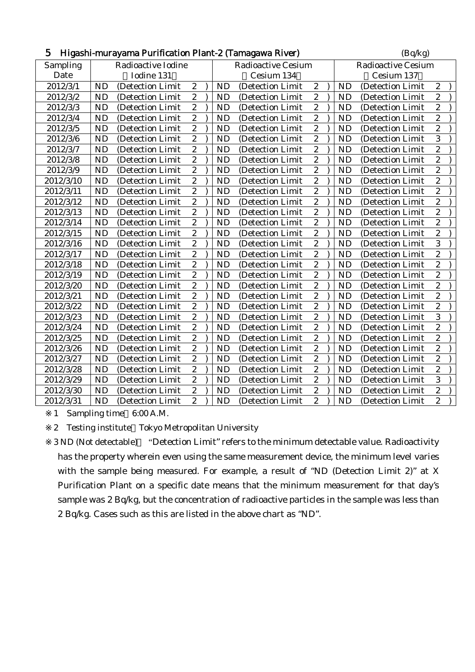| 5<br>Higashi-murayama Purification Plant-2 (Tamagawa River) |           |                    |                  |                           |           |                   |                           |  |           | (Bq/kg)          |                  |  |  |
|-------------------------------------------------------------|-----------|--------------------|------------------|---------------------------|-----------|-------------------|---------------------------|--|-----------|------------------|------------------|--|--|
| Sampling                                                    |           | Radioactive Iodine |                  | <b>Radioactive Cesium</b> |           |                   | <b>Radioactive Cesium</b> |  |           |                  |                  |  |  |
| Date                                                        |           | Iodine 131         |                  |                           |           | Cesium 134        |                           |  |           | Cesium 137       |                  |  |  |
| 2012/3/1                                                    | <b>ND</b> | (Detection Limit   | $\boldsymbol{2}$ |                           | <b>ND</b> | (Detection Limit  | $\boldsymbol{2}$          |  | <b>ND</b> | (Detection Limit | $\boldsymbol{2}$ |  |  |
| 2012/3/2                                                    | <b>ND</b> | (Detection Limit   | $\overline{c}$   |                           | <b>ND</b> | (Detection Limit) | $\overline{c}$            |  | <b>ND</b> | (Detection Limit | $\overline{2}$   |  |  |
| 2012/3/3                                                    | <b>ND</b> | (Detection Limit   | $\boldsymbol{2}$ |                           | <b>ND</b> | (Detection Limit  | $\overline{c}$            |  | <b>ND</b> | (Detection Limit | $\overline{c}$   |  |  |
| 2012/3/4                                                    | <b>ND</b> | (Detection Limit   | $\boldsymbol{2}$ |                           | <b>ND</b> | (Detection Limit  | $\boldsymbol{2}$          |  | <b>ND</b> | (Detection Limit | $\overline{c}$   |  |  |
| 2012/3/5                                                    | <b>ND</b> | (Detection Limit   | $\overline{2}$   |                           | <b>ND</b> | (Detection Limit  | $\overline{c}$            |  | <b>ND</b> | (Detection Limit | $\overline{c}$   |  |  |
| 2012/3/6                                                    | <b>ND</b> | (Detection Limit   | $\overline{2}$   |                           | <b>ND</b> | (Detection Limit  | $\overline{2}$            |  | <b>ND</b> | (Detection Limit | $\overline{3}$   |  |  |
| 2012/3/7                                                    | <b>ND</b> | (Detection Limit)  | $\boldsymbol{2}$ |                           | <b>ND</b> | (Detection Limit) | $\boldsymbol{2}$          |  | <b>ND</b> | (Detection Limit | $\boldsymbol{2}$ |  |  |
| 2012/3/8                                                    | <b>ND</b> | (Detection Limit   | $\overline{2}$   |                           | <b>ND</b> | (Detection Limit  | $\overline{c}$            |  | <b>ND</b> | (Detection Limit | $\overline{c}$   |  |  |
| 2012/3/9                                                    | <b>ND</b> | (Detection Limit   | $\boldsymbol{2}$ |                           | <b>ND</b> | (Detection Limit  | $\boldsymbol{2}$          |  | <b>ND</b> | (Detection Limit | $\overline{c}$   |  |  |
| 2012/3/10                                                   | <b>ND</b> | (Detection Limit   | $\boldsymbol{2}$ |                           | <b>ND</b> | (Detection Limit  | $\boldsymbol{2}$          |  | <b>ND</b> | (Detection Limit | $\overline{c}$   |  |  |
| 2012/3/11                                                   | <b>ND</b> | (Detection Limit)  | $\overline{c}$   |                           | <b>ND</b> | (Detection Limit  | $\overline{c}$            |  | <b>ND</b> | (Detection Limit | $\overline{c}$   |  |  |
| 2012/3/12                                                   | <b>ND</b> | (Detection Limit   | $\overline{2}$   |                           | <b>ND</b> | (Detection Limit) | $\overline{c}$            |  | <b>ND</b> | (Detection Limit | $\overline{c}$   |  |  |
| 2012/3/13                                                   | <b>ND</b> | (Detection Limit   | $\overline{2}$   |                           | <b>ND</b> | (Detection Limit  | $\overline{c}$            |  | <b>ND</b> | (Detection Limit | $\overline{c}$   |  |  |
| 2012/3/14                                                   | <b>ND</b> | (Detection Limit   | $\overline{c}$   |                           | <b>ND</b> | (Detection Limit  | $\overline{c}$            |  | <b>ND</b> | (Detection Limit | $\overline{c}$   |  |  |
| 2012/3/15                                                   | <b>ND</b> | (Detection Limit   | $\sqrt{2}$       |                           | <b>ND</b> | (Detection Limit) | $\boldsymbol{2}$          |  | <b>ND</b> | (Detection Limit | $\boldsymbol{2}$ |  |  |
| 2012/3/16                                                   | <b>ND</b> | (Detection Limit   | $\boldsymbol{2}$ |                           | <b>ND</b> | (Detection Limit  | $\overline{c}$            |  | <b>ND</b> | (Detection Limit | 3                |  |  |
| 2012/3/17                                                   | <b>ND</b> | (Detection Limit   | $\overline{2}$   |                           | <b>ND</b> | (Detection Limit  | $\overline{c}$            |  | <b>ND</b> | (Detection Limit | $\overline{c}$   |  |  |
| 2012/3/18                                                   | <b>ND</b> | (Detection Limit)  | $\overline{c}$   |                           | <b>ND</b> | (Detection Limit  | $\boldsymbol{2}$          |  | <b>ND</b> | (Detection Limit | $\overline{c}$   |  |  |
| 2012/3/19                                                   | <b>ND</b> | (Detection Limit   | $\overline{c}$   |                           | <b>ND</b> | (Detection Limit  | $\boldsymbol{2}$          |  | <b>ND</b> | (Detection Limit | $\overline{c}$   |  |  |
| 2012/3/20                                                   | <b>ND</b> | (Detection Limit   | $\boldsymbol{2}$ |                           | <b>ND</b> | (Detection Limit  | $\overline{c}$            |  | <b>ND</b> | (Detection Limit | $\overline{c}$   |  |  |
| 2012/3/21                                                   | <b>ND</b> | (Detection Limit   | $\boldsymbol{2}$ |                           | <b>ND</b> | (Detection Limit  | $\boldsymbol{2}$          |  | <b>ND</b> | (Detection Limit | $\overline{c}$   |  |  |
| 2012/3/22                                                   | <b>ND</b> | (Detection Limit   | $\overline{c}$   |                           | <b>ND</b> | (Detection Limit  | $\overline{c}$            |  | <b>ND</b> | (Detection Limit | $\overline{c}$   |  |  |
| 2012/3/23                                                   | <b>ND</b> | (Detection Limit   | $\overline{c}$   |                           | <b>ND</b> | (Detection Limit  | $\overline{\mathbf{c}}$   |  | <b>ND</b> | (Detection Limit | 3                |  |  |
| 2012/3/24                                                   | <b>ND</b> | (Detection Limit)  | $\overline{c}$   |                           | <b>ND</b> | (Detection Limit  | $\boldsymbol{2}$          |  | <b>ND</b> | (Detection Limit | $\overline{c}$   |  |  |
| 2012/3/25                                                   | <b>ND</b> | (Detection Limit   | $\overline{c}$   |                           | <b>ND</b> | (Detection Limit  | $\boldsymbol{2}$          |  | <b>ND</b> | (Detection Limit | $\overline{c}$   |  |  |
| 2012/3/26                                                   | <b>ND</b> | (Detection Limit   | $\sqrt{2}$       |                           | <b>ND</b> | (Detection Limit  | $\boldsymbol{2}$          |  | <b>ND</b> | (Detection Limit | $\overline{c}$   |  |  |
| 2012/3/27                                                   | <b>ND</b> | (Detection Limit   | $\boldsymbol{2}$ |                           | <b>ND</b> | (Detection Limit  | $\overline{c}$            |  | <b>ND</b> | (Detection Limit | $\overline{c}$   |  |  |
| 2012/3/28                                                   | <b>ND</b> | (Detection Limit   | $\overline{c}$   |                           | <b>ND</b> | (Detection Limit  | $\overline{c}$            |  | <b>ND</b> | (Detection Limit | $\overline{c}$   |  |  |
| 2012/3/29                                                   | <b>ND</b> | (Detection Limit   | $\overline{c}$   |                           | <b>ND</b> | (Detection Limit  | $\overline{\mathbf{c}}$   |  | <b>ND</b> | (Detection Limit | 3                |  |  |
| 2012/3/30                                                   | <b>ND</b> | (Detection Limit   | $\overline{2}$   |                           | <b>ND</b> | (Detection Limit  | $\boldsymbol{2}$          |  | <b>ND</b> | (Detection Limit | $\overline{c}$   |  |  |
| 2012/3/31                                                   | <b>ND</b> | (Detection Limit)  | $\overline{2}$   |                           | <b>ND</b> | (Detection Limit  | $\overline{c}$            |  | <b>ND</b> | (Detection Limit | $\overline{2}$   |  |  |

1 Sampling time 6:00 A.M.

2 Testing institute Tokyo Metropolitan University